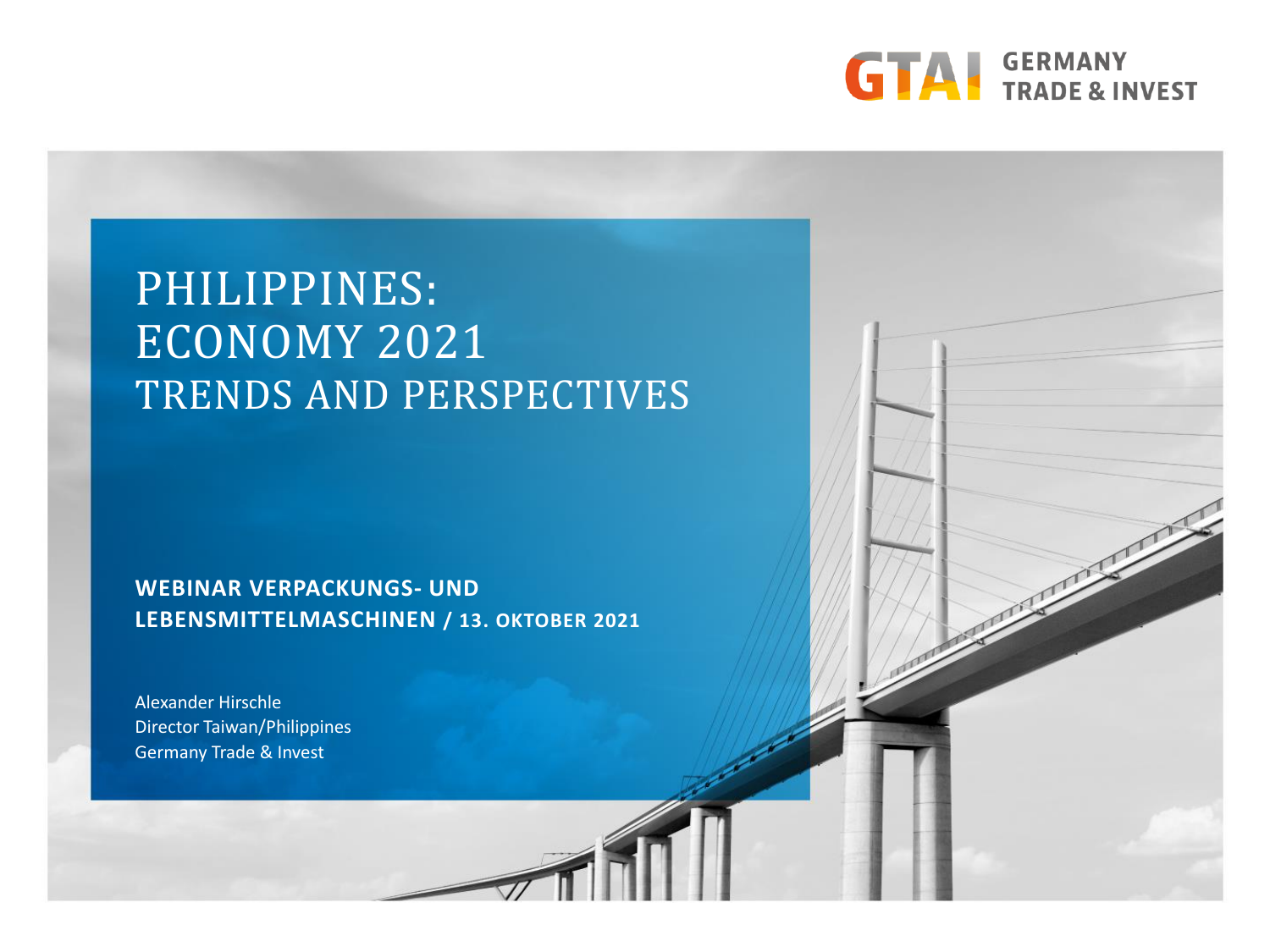

### PHILIPPINES: ECONOMY 2021 TRENDS AND PERSPECTIVES

**WEBINAR VERPACKUNGS- UND LEBENSMITTELMASCHINEN / 13. OKTOBER 2021**

Alexander Hirschle Director Taiwan/Philippines Germany Trade & Invest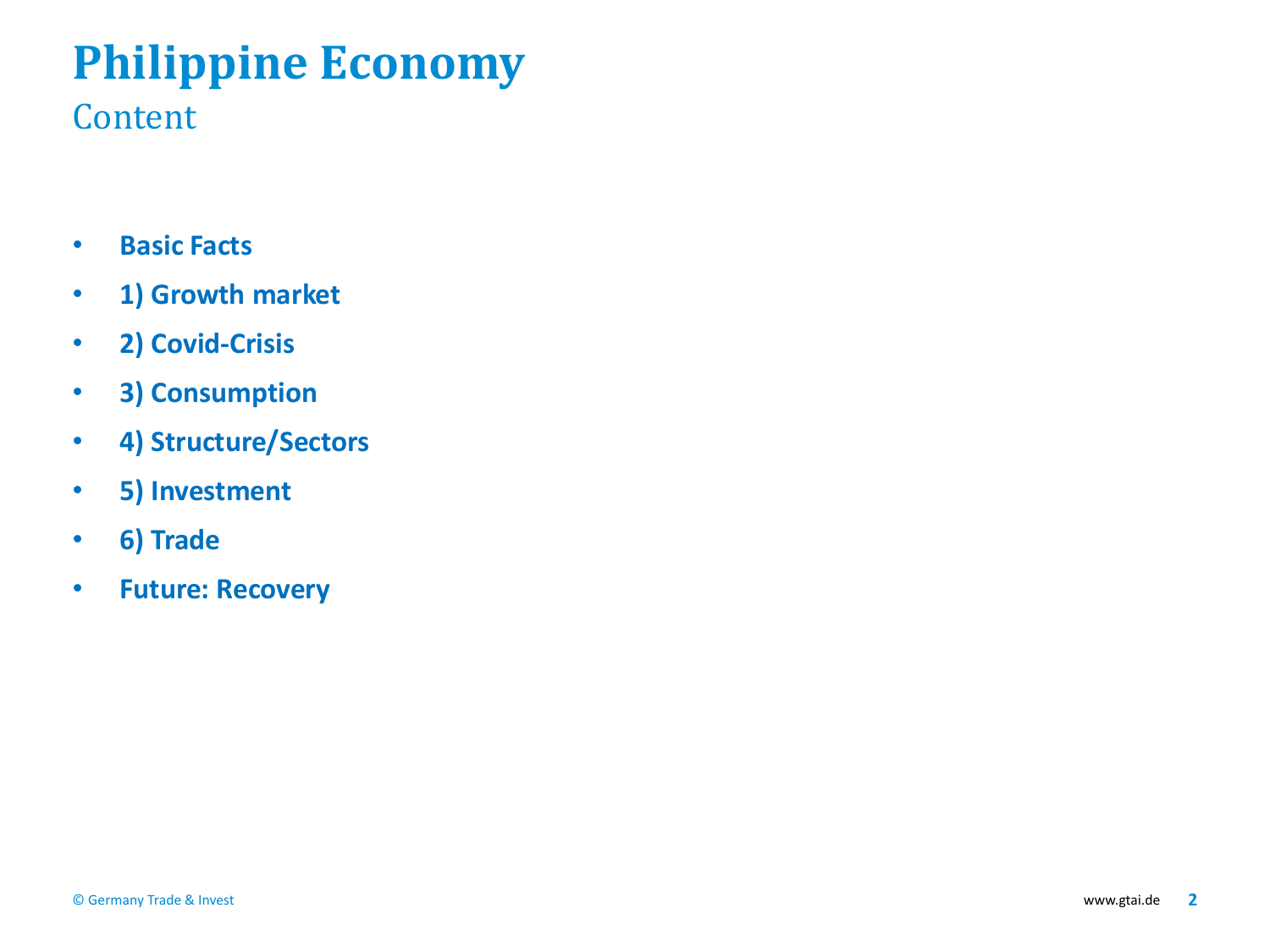# **Philippine Economy**

#### Content

- **Basic Facts**
- **1) Growth market**
- **2) Covid-Crisis**
- **3) Consumption**
- **4) Structure/Sectors**
- **5) Investment**
- **6) Trade**
- **Future: Recovery**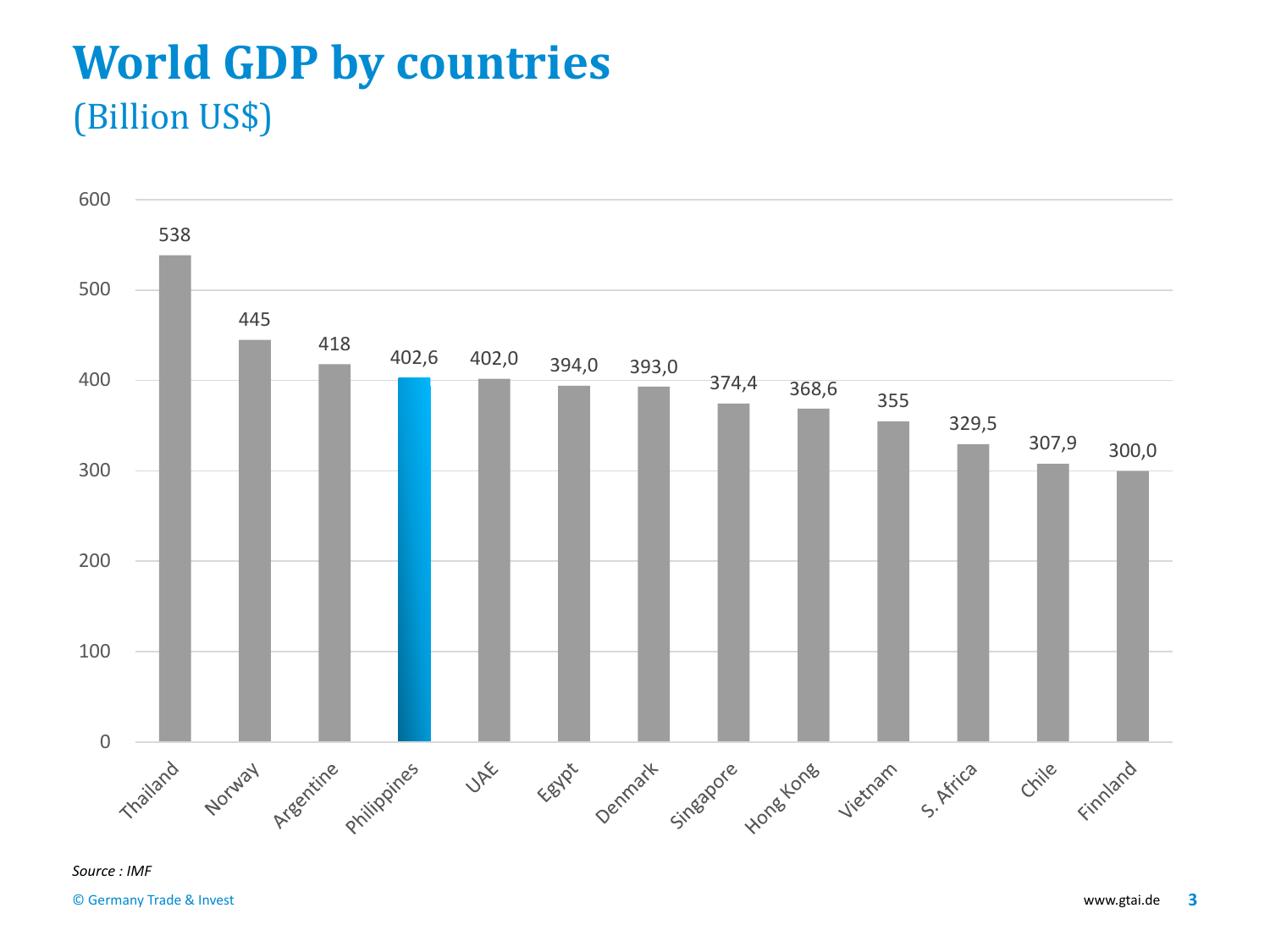### **World GDP by countries** (Billion US\$)

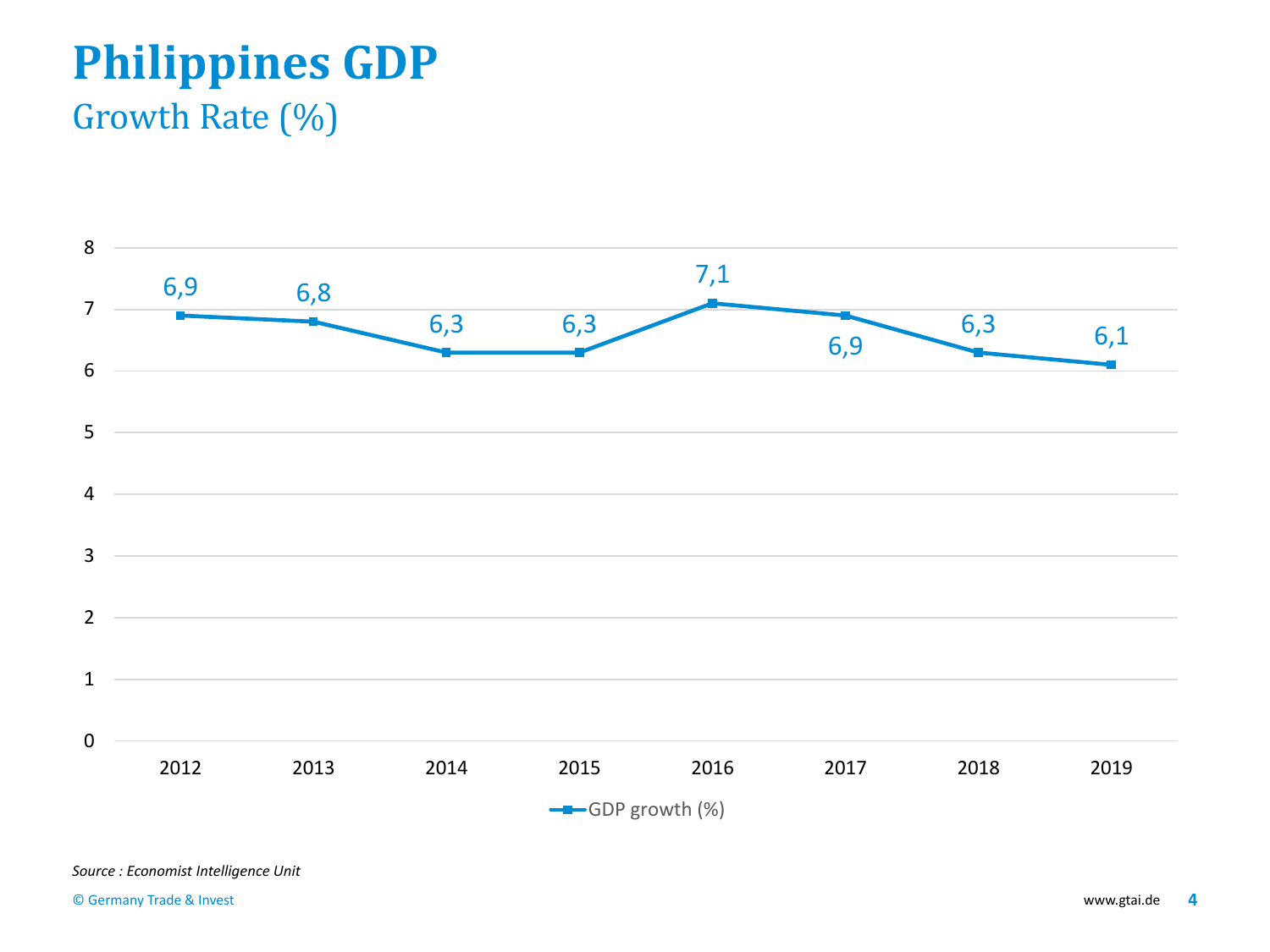# **Philippines GDP**

#### Growth Rate (%)

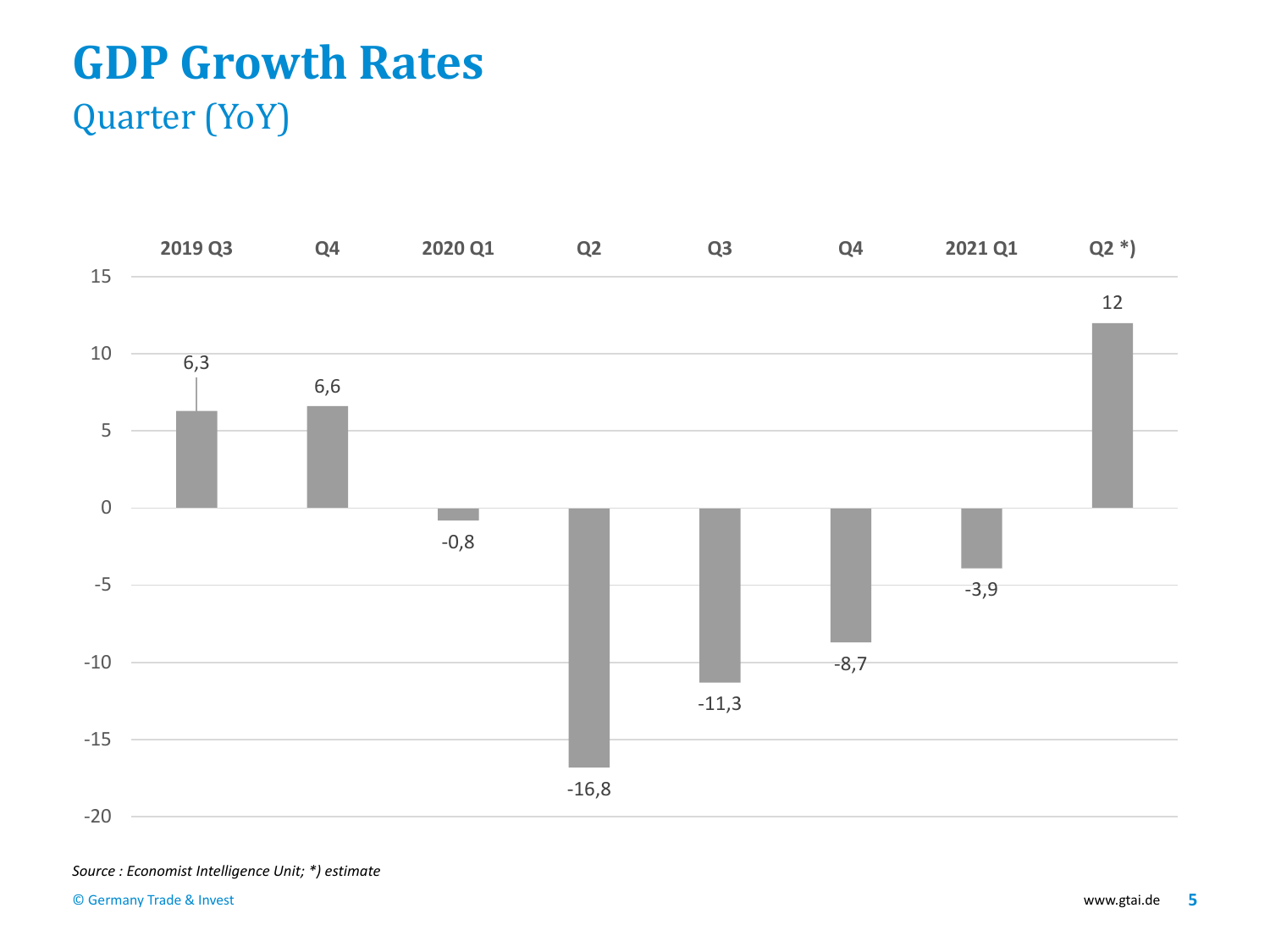# **GDP Growth Rates**

#### Quarter (YoY)



#### *Source : Economist Intelligence Unit; \*) estimate*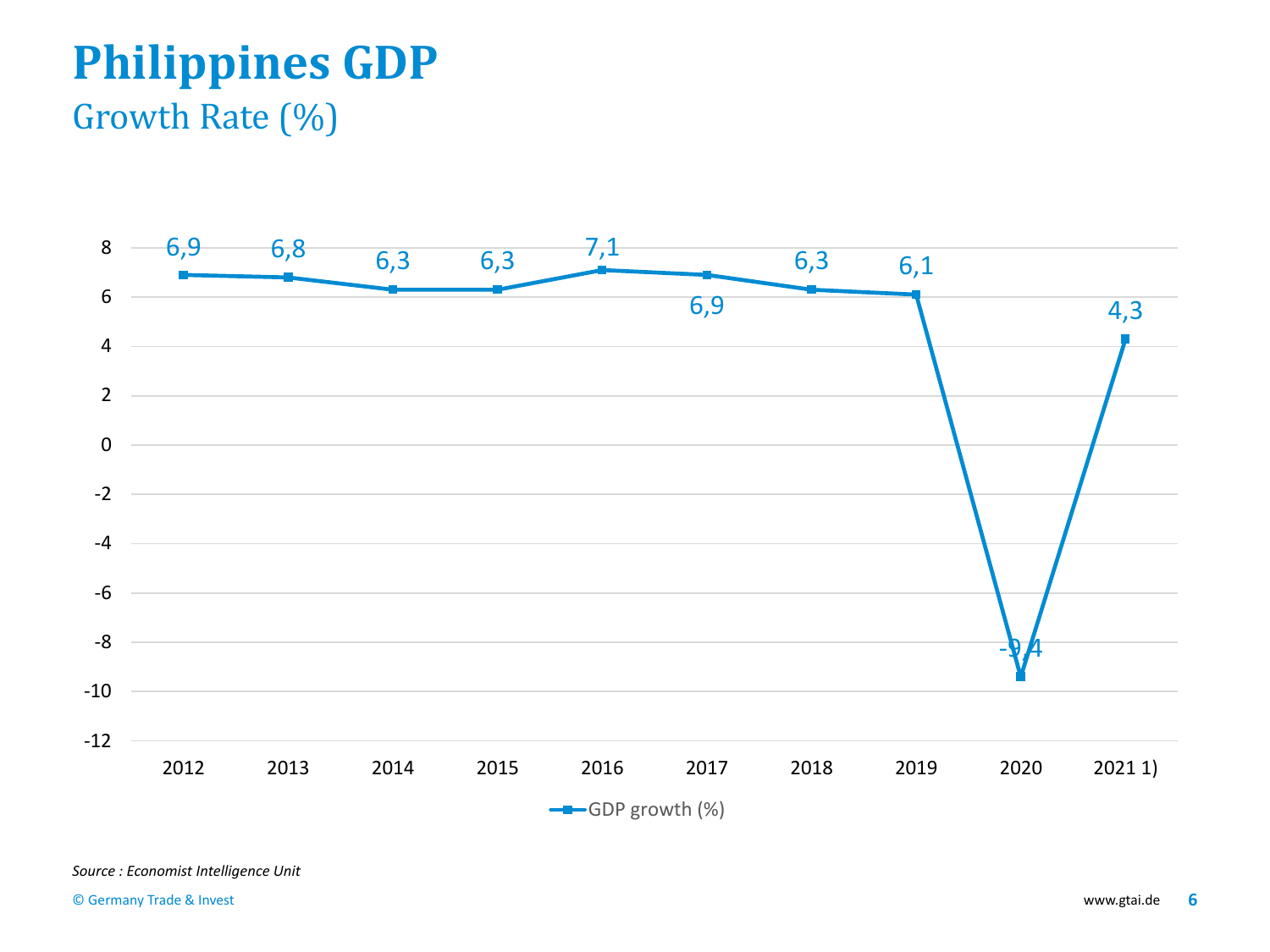# **Philippines GDP**

#### Growth Rate (%)

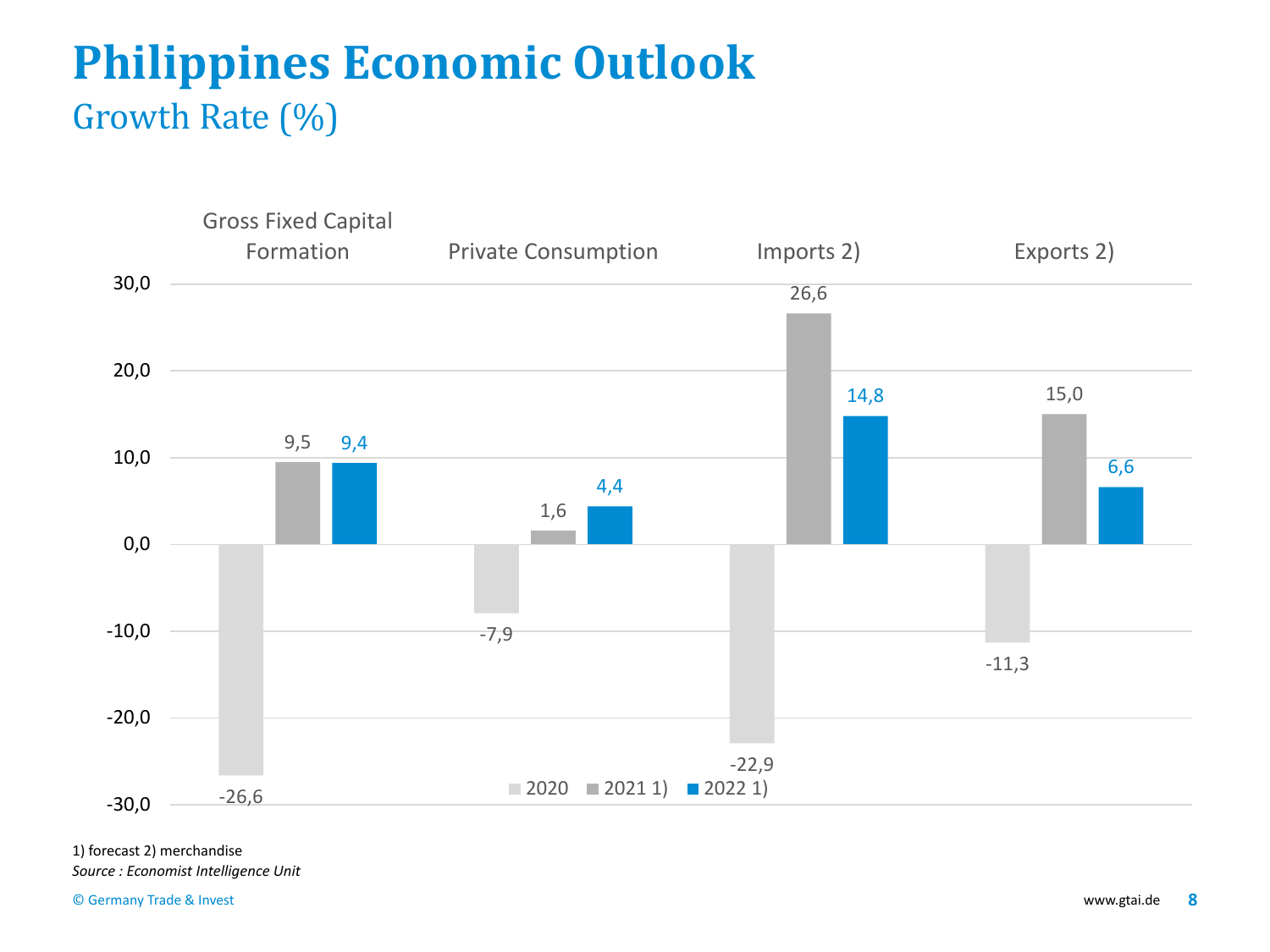## **Philippines Economic Outlook**  Growth Rate (%)



1) forecast 2) merchandise *Source : Economist Intelligence Unit*

© Germany Trade & Invest www.gtai.de **8**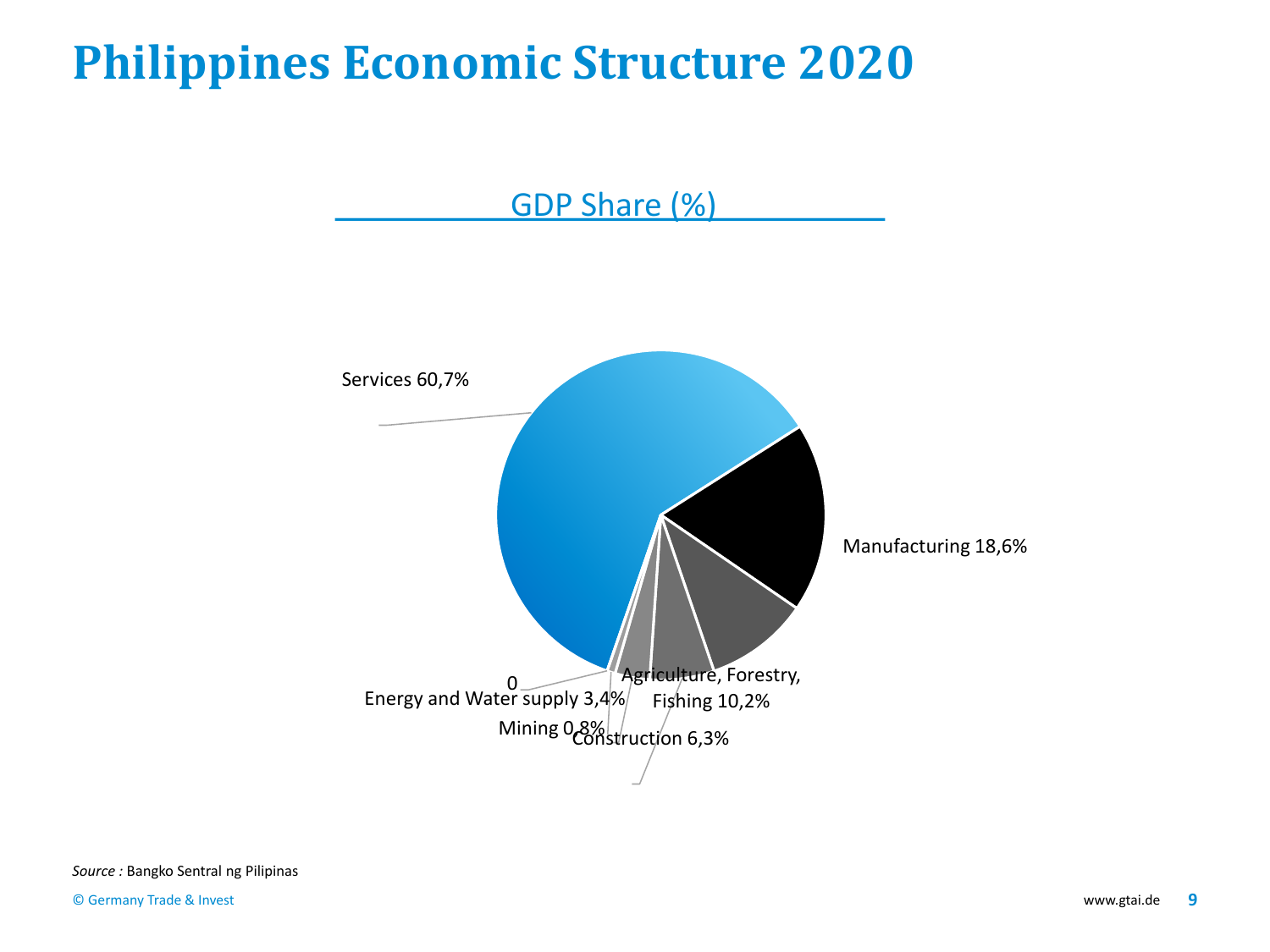## **Philippines Economic Structure 2020**

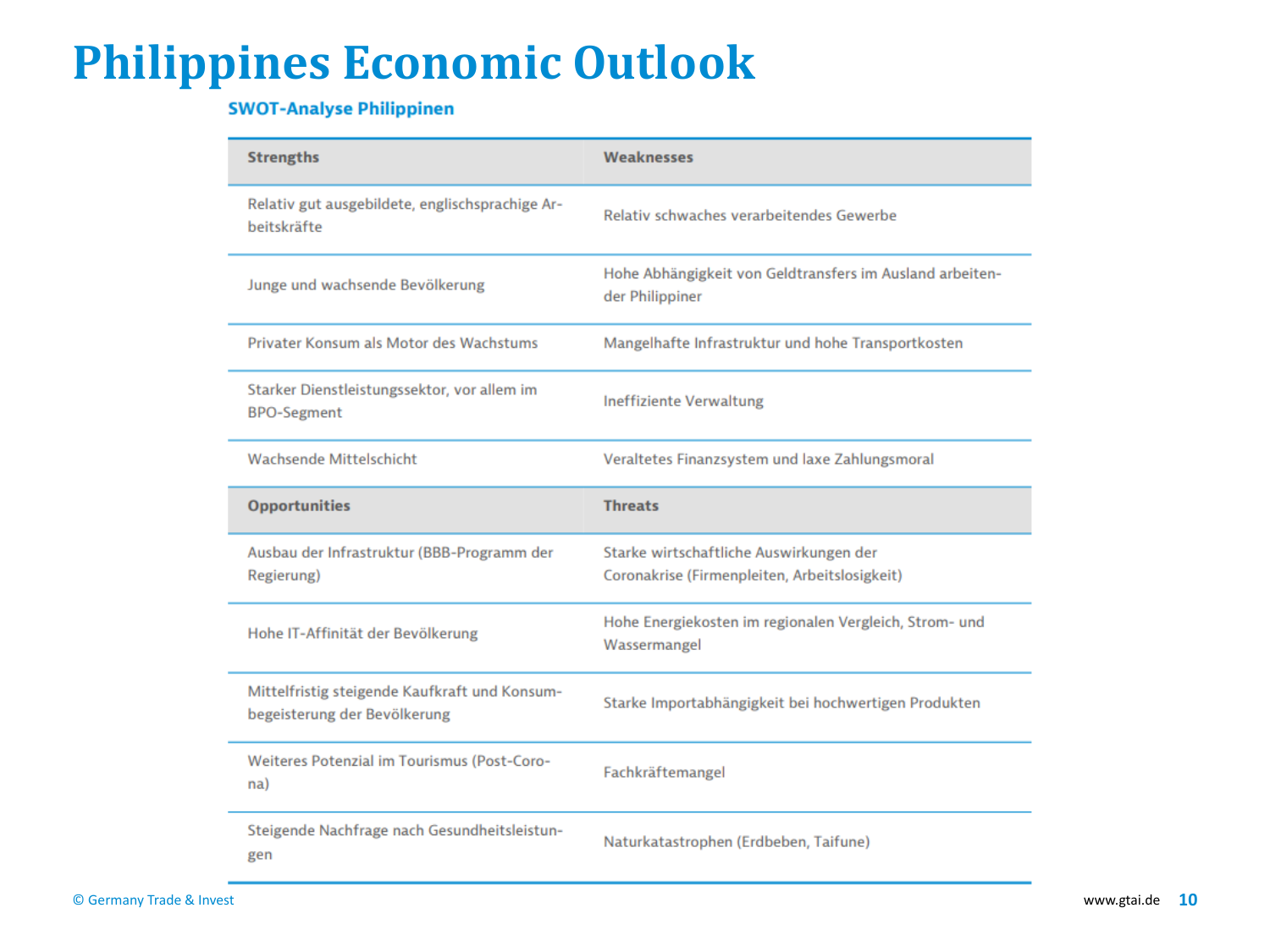## **Philippines Economic Outlook**

#### **SWOT-Analyse Philippinen**

| <b>Strengths</b>                                                              | Weaknesses                                                                               |  |
|-------------------------------------------------------------------------------|------------------------------------------------------------------------------------------|--|
| Relativ gut ausgebildete, englischsprachige Ar-<br>beitskräfte                | Relativ schwaches verarbeitendes Gewerbe                                                 |  |
| Junge und wachsende Bevölkerung                                               | Hohe Abhängigkeit von Geldtransfers im Ausland arbeiten-<br>der Philippiner              |  |
| Privater Konsum als Motor des Wachstums                                       | Mangelhafte Infrastruktur und hohe Transportkosten                                       |  |
| Starker Dienstleistungssektor, vor allem im<br><b>BPO-Segment</b>             | <b>Ineffiziente Verwaltung</b>                                                           |  |
| Wachsende Mittelschicht                                                       | Veraltetes Finanzsystem und laxe Zahlungsmoral                                           |  |
| <b>Opportunities</b>                                                          | <b>Threats</b>                                                                           |  |
| Ausbau der Infrastruktur (BBB-Programm der<br>Regierung)                      | Starke wirtschaftliche Auswirkungen der<br>Coronakrise (Firmenpleiten, Arbeitslosigkeit) |  |
| Hohe IT-Affinität der Bevölkerung                                             | Hohe Energiekosten im regionalen Vergleich, Strom- und<br>Wassermangel                   |  |
| Mittelfristig steigende Kaufkraft und Konsum-<br>begeisterung der Bevölkerung | Starke Importabhängigkeit bei hochwertigen Produkten                                     |  |
| Weiteres Potenzial im Tourismus (Post-Coro-<br>na)                            | Fachkräftemangel                                                                         |  |
| Steigende Nachfrage nach Gesundheitsleistun-<br>gen                           | Naturkatastrophen (Erdbeben, Taifune)                                                    |  |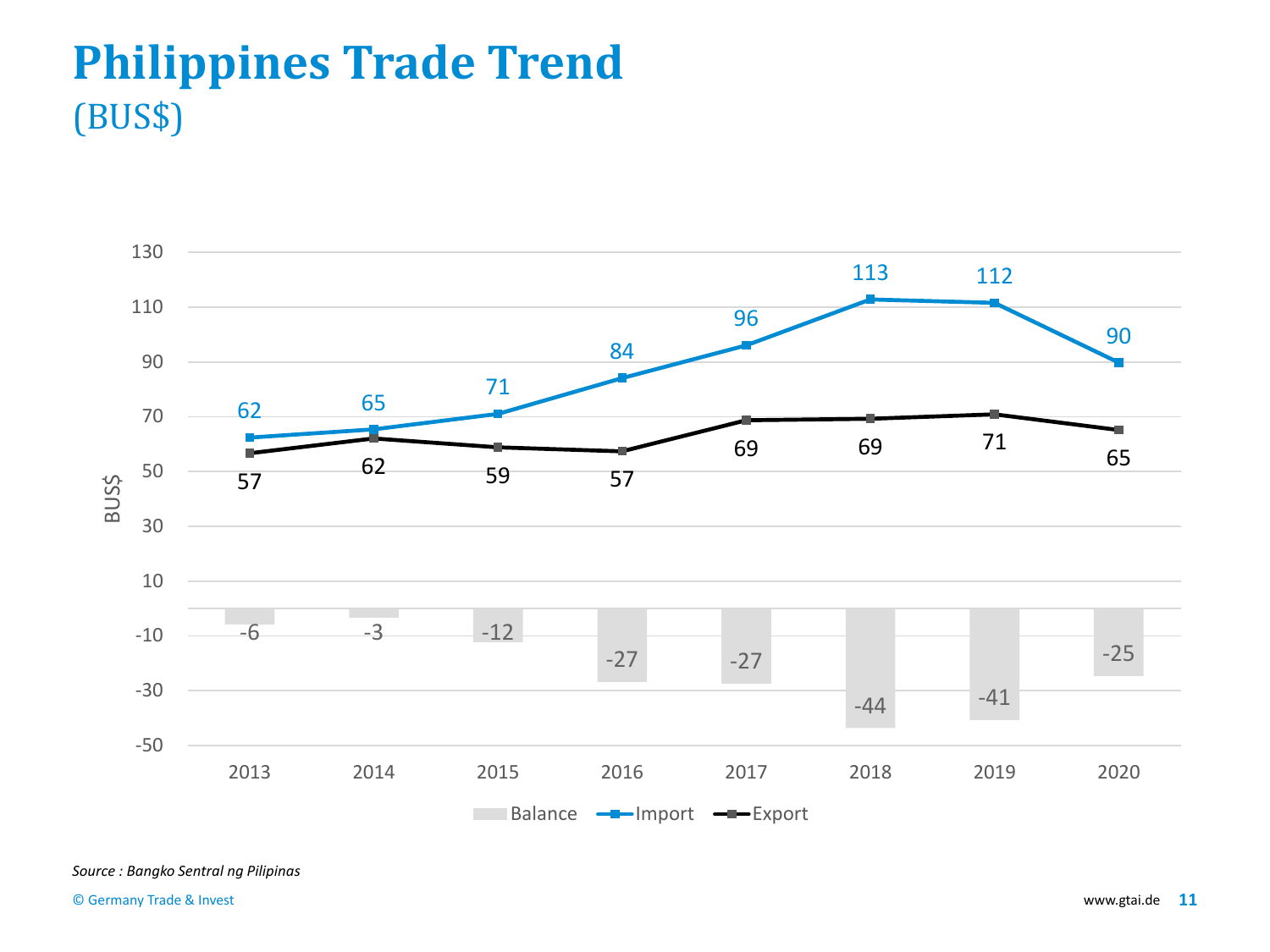## **Philippines Trade Trend** (BUS\$)

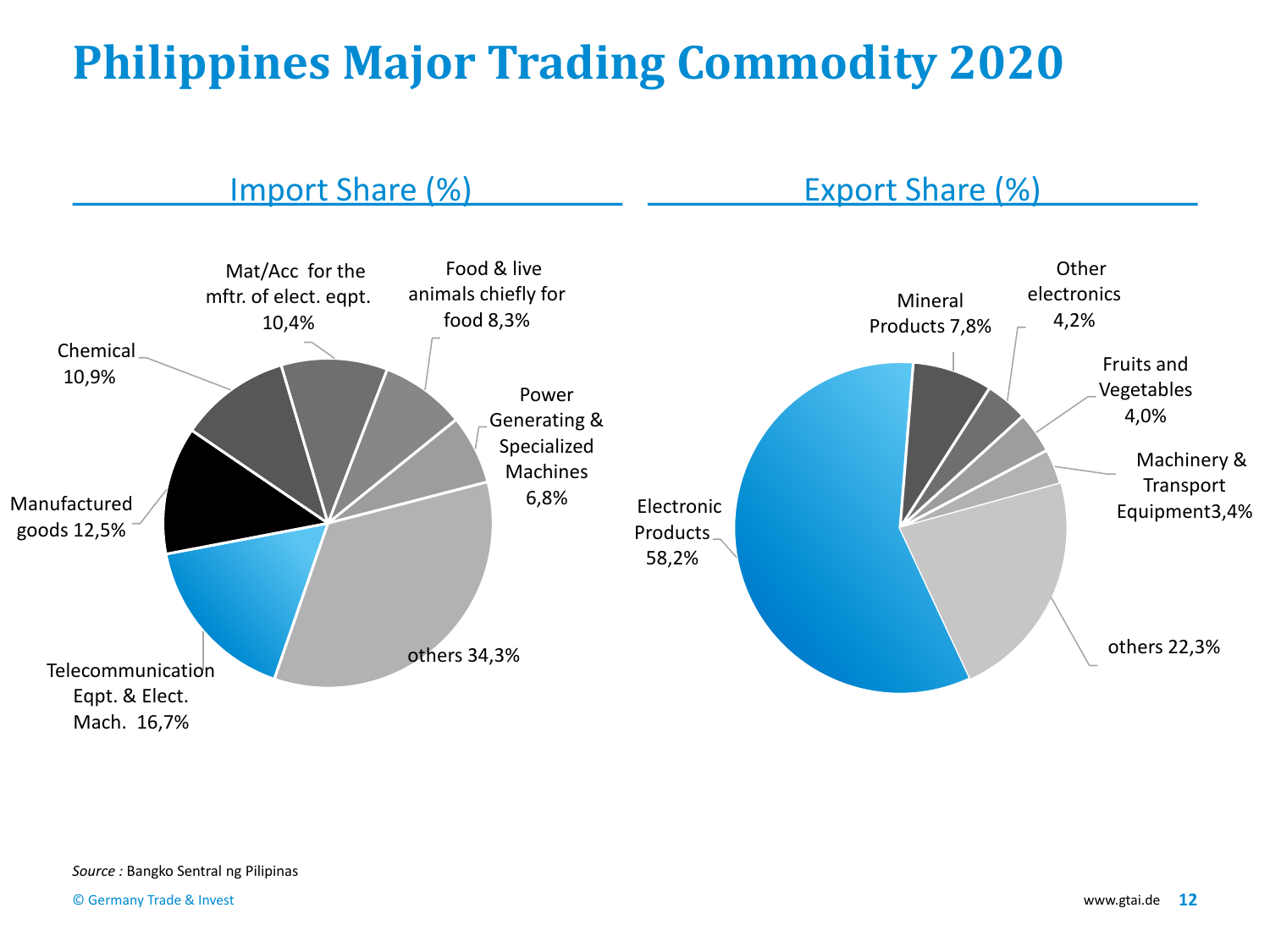# **Philippines Major Trading Commodity 2020**

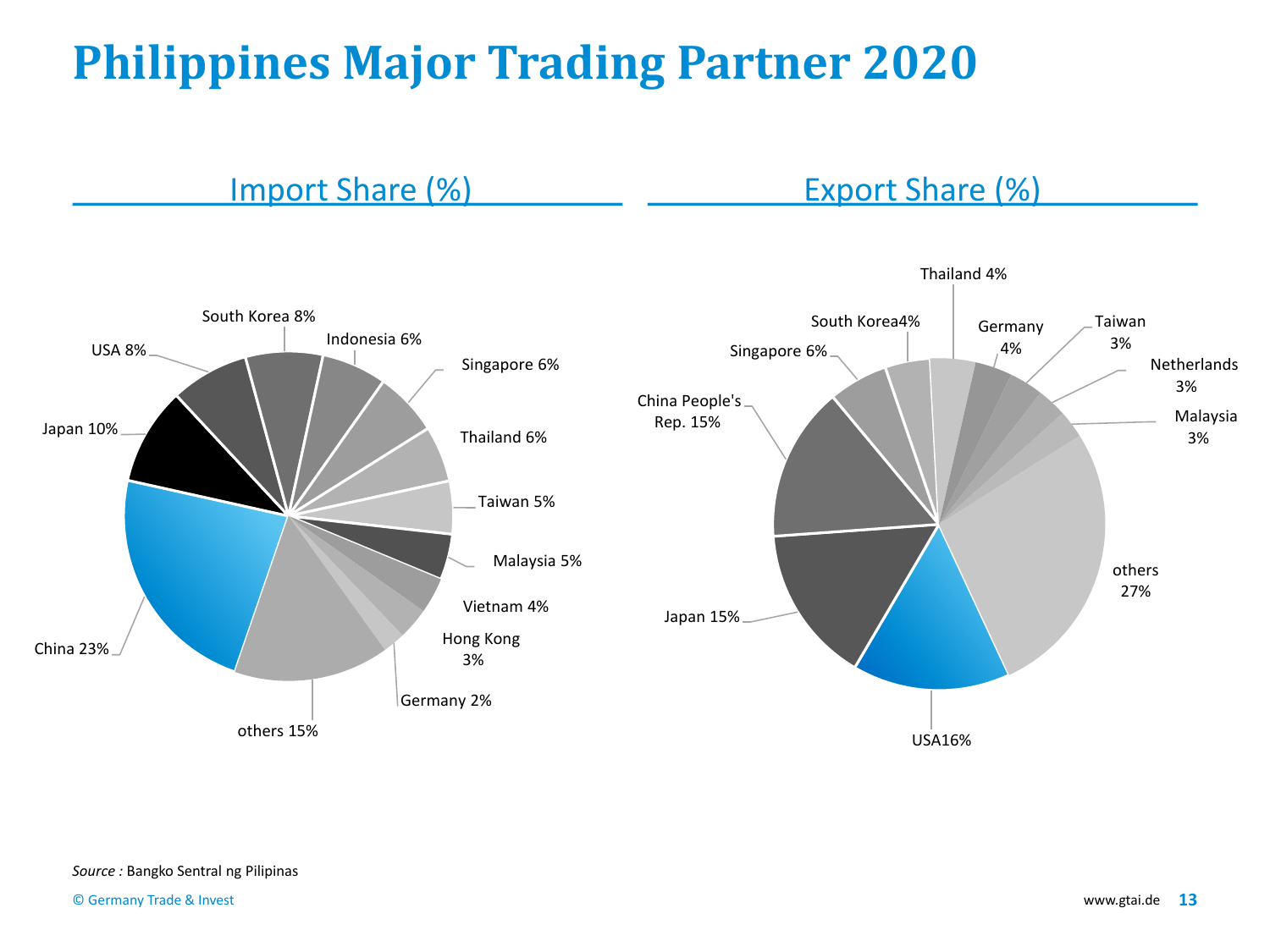# **Philippines Major Trading Partner 2020**

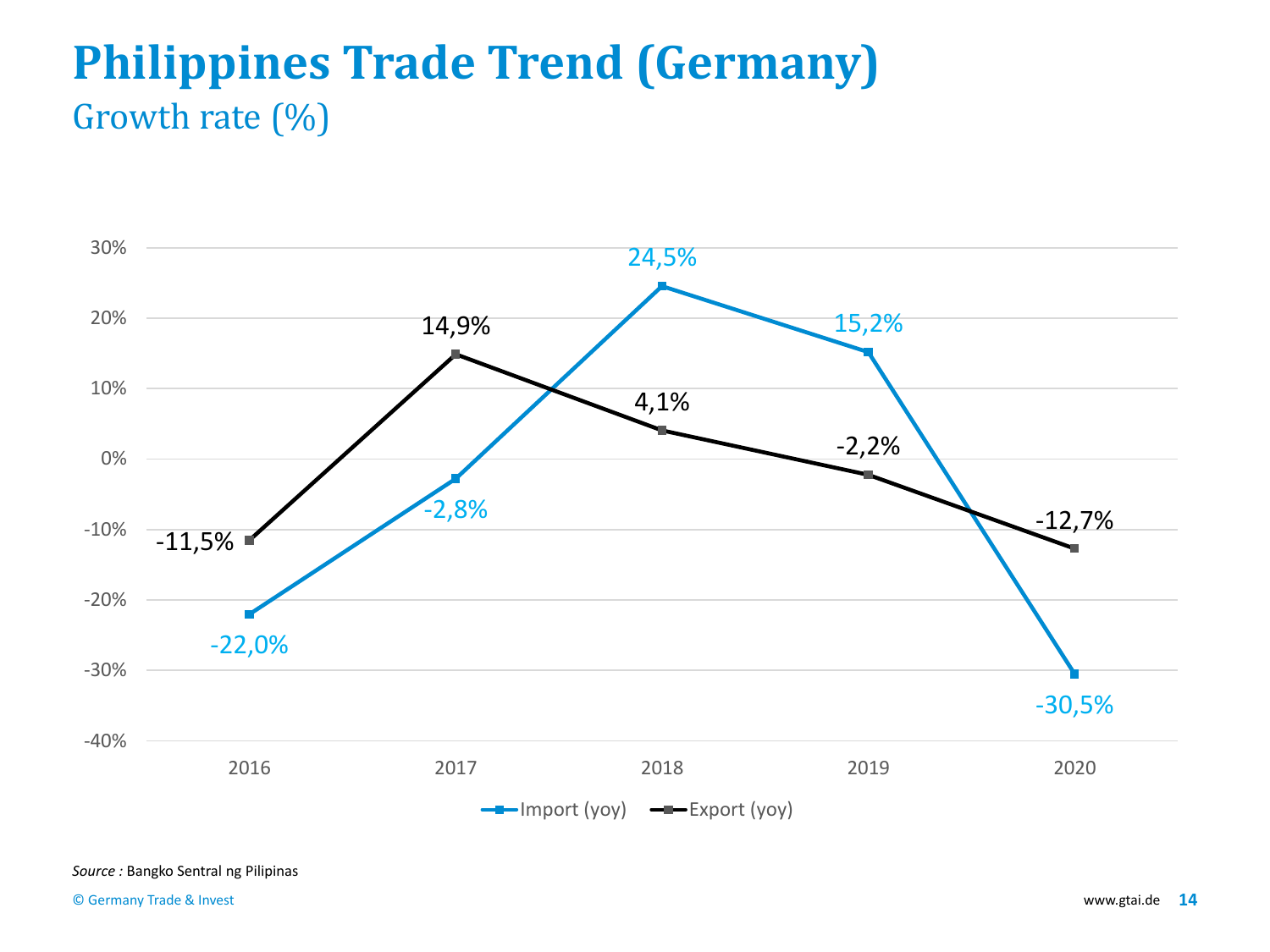#### **Philippines Trade Trend (Germany)** Growth rate (%)

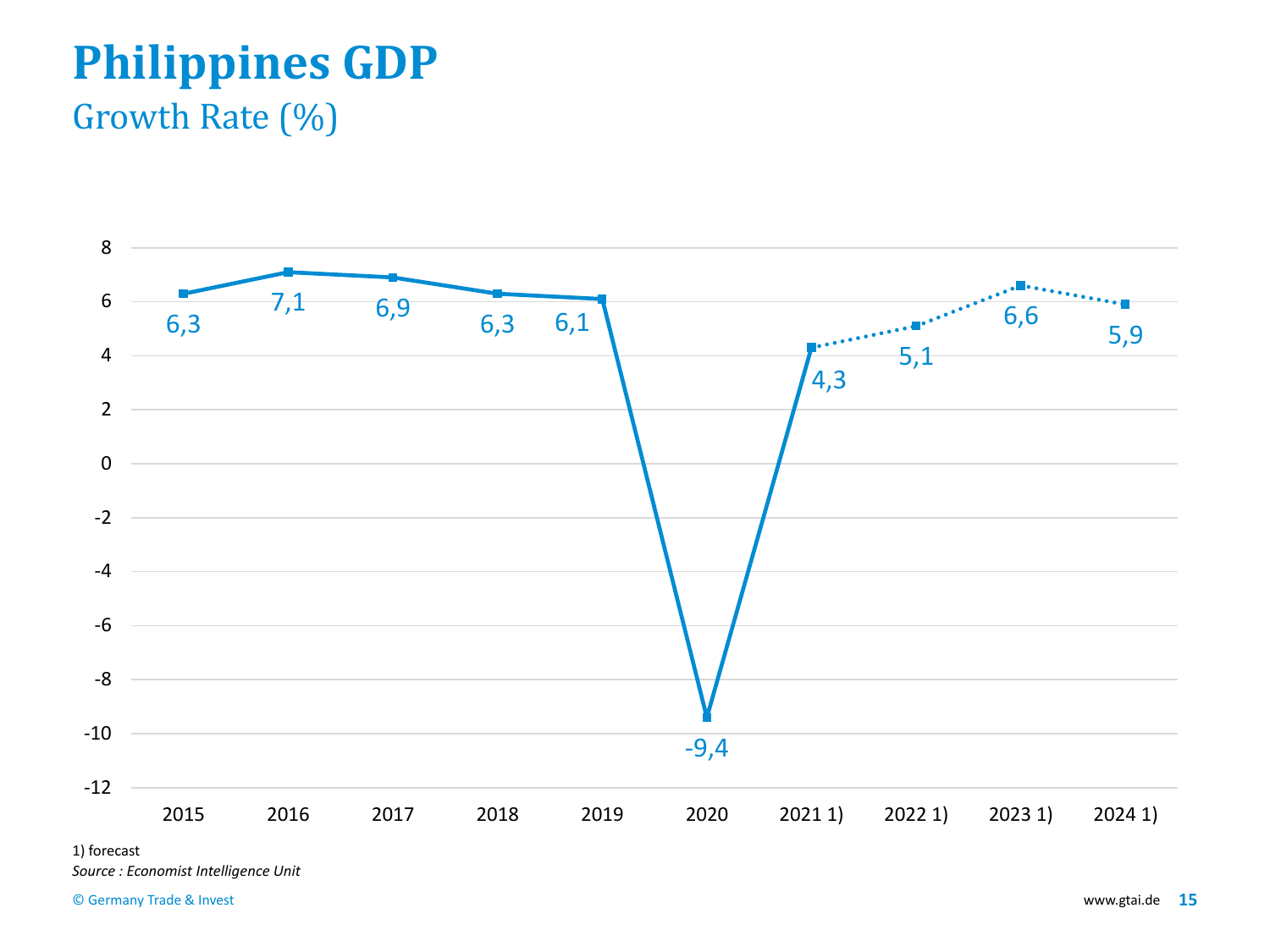# **Philippines GDP**

#### Growth Rate (%)



1) forecast

*Source : Economist Intelligence Unit*

© Germany Trade & Invest www.gtai.de **15**